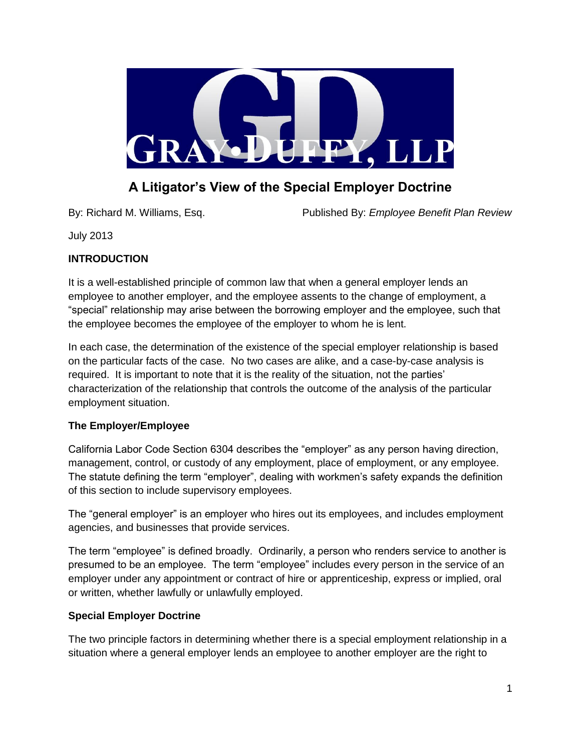

# **A Litigator's View of the Special Employer Doctrine**

By: Richard M. Williams, Esq. Published By: *Employee Benefit Plan Review*

July 2013

# **INTRODUCTION**

It is a well-established principle of common law that when a general employer lends an employee to another employer, and the employee assents to the change of employment, a "special" relationship may arise between the borrowing employer and the employee, such that the employee becomes the employee of the employer to whom he is lent.

In each case, the determination of the existence of the special employer relationship is based on the particular facts of the case. No two cases are alike, and a case-by-case analysis is required. It is important to note that it is the reality of the situation, not the parties' characterization of the relationship that controls the outcome of the analysis of the particular employment situation.

# **The Employer/Employee**

California Labor Code Section 6304 describes the "employer" as any person having direction, management, control, or custody of any employment, place of employment, or any employee. The statute defining the term "employer", dealing with workmen's safety expands the definition of this section to include supervisory employees.

The "general employer" is an employer who hires out its employees, and includes employment agencies, and businesses that provide services.

The term "employee" is defined broadly. Ordinarily, a person who renders service to another is presumed to be an employee. The term "employee" includes every person in the service of an employer under any appointment or contract of hire or apprenticeship, express or implied, oral or written, whether lawfully or unlawfully employed.

# **Special Employer Doctrine**

The two principle factors in determining whether there is a special employment relationship in a situation where a general employer lends an employee to another employer are the right to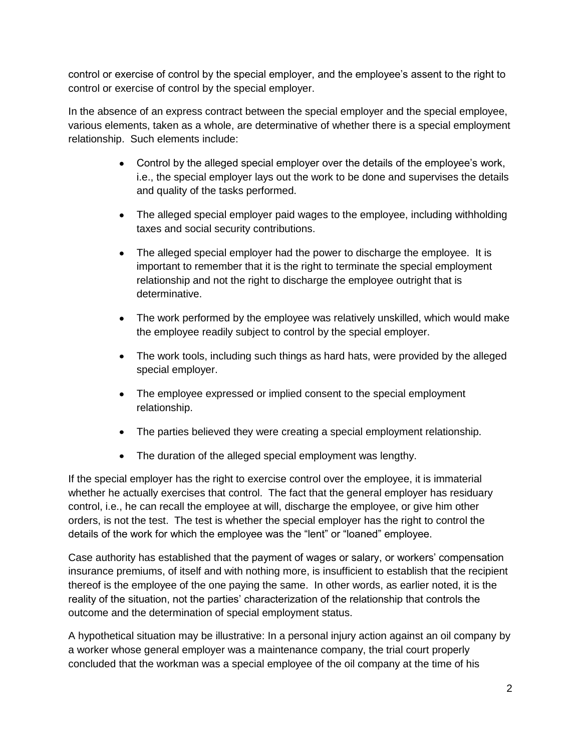control or exercise of control by the special employer, and the employee's assent to the right to control or exercise of control by the special employer.

In the absence of an express contract between the special employer and the special employee, various elements, taken as a whole, are determinative of whether there is a special employment relationship. Such elements include:

- Control by the alleged special employer over the details of the employee's work, i.e., the special employer lays out the work to be done and supervises the details and quality of the tasks performed.
- The alleged special employer paid wages to the employee, including withholding taxes and social security contributions.
- The alleged special employer had the power to discharge the employee. It is important to remember that it is the right to terminate the special employment relationship and not the right to discharge the employee outright that is determinative.
- The work performed by the employee was relatively unskilled, which would make the employee readily subject to control by the special employer.
- The work tools, including such things as hard hats, were provided by the alleged  $\bullet$ special employer.
- The employee expressed or implied consent to the special employment relationship.
- The parties believed they were creating a special employment relationship.
- The duration of the alleged special employment was lengthy.

If the special employer has the right to exercise control over the employee, it is immaterial whether he actually exercises that control. The fact that the general employer has residuary control, i.e., he can recall the employee at will, discharge the employee, or give him other orders, is not the test. The test is whether the special employer has the right to control the details of the work for which the employee was the "lent" or "loaned" employee.

Case authority has established that the payment of wages or salary, or workers' compensation insurance premiums, of itself and with nothing more, is insufficient to establish that the recipient thereof is the employee of the one paying the same. In other words, as earlier noted, it is the reality of the situation, not the parties' characterization of the relationship that controls the outcome and the determination of special employment status.

A hypothetical situation may be illustrative: In a personal injury action against an oil company by a worker whose general employer was a maintenance company, the trial court properly concluded that the workman was a special employee of the oil company at the time of his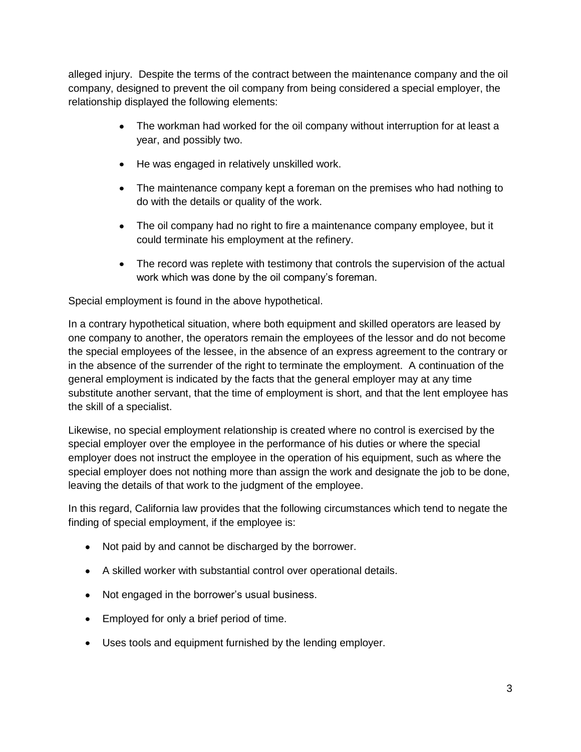alleged injury. Despite the terms of the contract between the maintenance company and the oil company, designed to prevent the oil company from being considered a special employer, the relationship displayed the following elements:

- The workman had worked for the oil company without interruption for at least a  $\bullet$ year, and possibly two.
- He was engaged in relatively unskilled work.
- The maintenance company kept a foreman on the premises who had nothing to do with the details or quality of the work.
- The oil company had no right to fire a maintenance company employee, but it could terminate his employment at the refinery.
- The record was replete with testimony that controls the supervision of the actual work which was done by the oil company's foreman.

Special employment is found in the above hypothetical.

In a contrary hypothetical situation, where both equipment and skilled operators are leased by one company to another, the operators remain the employees of the lessor and do not become the special employees of the lessee, in the absence of an express agreement to the contrary or in the absence of the surrender of the right to terminate the employment. A continuation of the general employment is indicated by the facts that the general employer may at any time substitute another servant, that the time of employment is short, and that the lent employee has the skill of a specialist.

Likewise, no special employment relationship is created where no control is exercised by the special employer over the employee in the performance of his duties or where the special employer does not instruct the employee in the operation of his equipment, such as where the special employer does not nothing more than assign the work and designate the job to be done, leaving the details of that work to the judgment of the employee.

In this regard, California law provides that the following circumstances which tend to negate the finding of special employment, if the employee is:

- Not paid by and cannot be discharged by the borrower.
- A skilled worker with substantial control over operational details.
- Not engaged in the borrower's usual business.
- Employed for only a brief period of time.
- Uses tools and equipment furnished by the lending employer.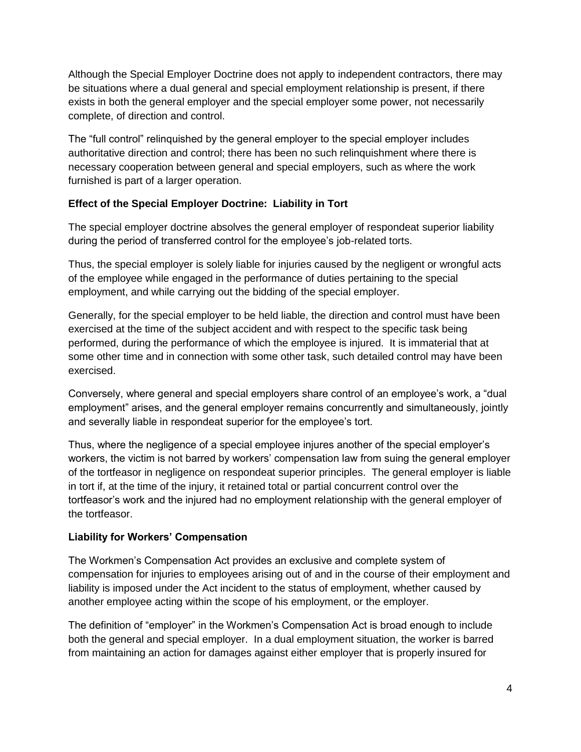Although the Special Employer Doctrine does not apply to independent contractors, there may be situations where a dual general and special employment relationship is present, if there exists in both the general employer and the special employer some power, not necessarily complete, of direction and control.

The "full control" relinquished by the general employer to the special employer includes authoritative direction and control; there has been no such relinquishment where there is necessary cooperation between general and special employers, such as where the work furnished is part of a larger operation.

# **Effect of the Special Employer Doctrine: Liability in Tort**

The special employer doctrine absolves the general employer of respondeat superior liability during the period of transferred control for the employee's job-related torts.

Thus, the special employer is solely liable for injuries caused by the negligent or wrongful acts of the employee while engaged in the performance of duties pertaining to the special employment, and while carrying out the bidding of the special employer.

Generally, for the special employer to be held liable, the direction and control must have been exercised at the time of the subject accident and with respect to the specific task being performed, during the performance of which the employee is injured. It is immaterial that at some other time and in connection with some other task, such detailed control may have been exercised.

Conversely, where general and special employers share control of an employee's work, a "dual employment" arises, and the general employer remains concurrently and simultaneously, jointly and severally liable in respondeat superior for the employee's tort.

Thus, where the negligence of a special employee injures another of the special employer's workers, the victim is not barred by workers' compensation law from suing the general employer of the tortfeasor in negligence on respondeat superior principles. The general employer is liable in tort if, at the time of the injury, it retained total or partial concurrent control over the tortfeasor's work and the injured had no employment relationship with the general employer of the tortfeasor.

# **Liability for Workers' Compensation**

The Workmen's Compensation Act provides an exclusive and complete system of compensation for injuries to employees arising out of and in the course of their employment and liability is imposed under the Act incident to the status of employment, whether caused by another employee acting within the scope of his employment, or the employer.

The definition of "employer" in the Workmen's Compensation Act is broad enough to include both the general and special employer. In a dual employment situation, the worker is barred from maintaining an action for damages against either employer that is properly insured for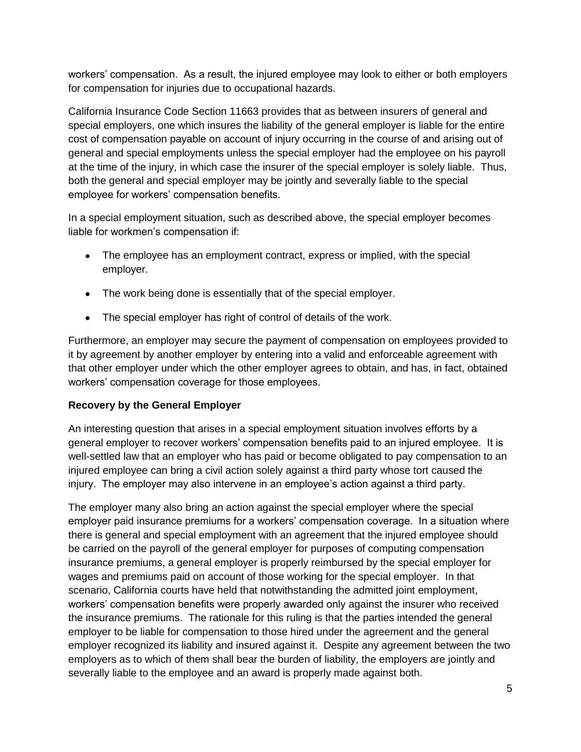workers' compensation. As a result, the injured employee may look to either or both employers for compensation for injuries due to occupational hazards.

California Insurance Code Section 11663 provides that as between insurers of general and special employers, one which insures the liability of the general employer is liable for the entire cost of compensation payable on account of injury occurring in the course of and arising out of general and special employments unless the special employer had the employee on his payroll at the time of the injury, in which case the insurer of the special employer is solely liable. Thus, both the general and special employer may be jointly and severally liable to the special employee for workers' compensation benefits.

In a special employment situation, such as described above, the special employer becomes liable for workmen's compensation if:

- The employee has an employment contract, express or implied, with the special employer.
- The work being done is essentially that of the special employer.
- The special employer has right of control of details of the work.

Furthermore, an employer may secure the payment of compensation on employees provided to it by agreement by another employer by entering into a valid and enforceable agreement with that other employer under which the other employer agrees to obtain, and has, in fact, obtained workers' compensation coverage for those employees.

# **Recovery by the General Employer**

An interesting question that arises in a special employment situation involves efforts by a general employer to recover workers' compensation benefits paid to an injured employee. It is well-settled law that an employer who has paid or become obligated to pay compensation to an injured employee can bring a civil action solely against a third party whose tort caused the injury. The employer may also intervene in an employee's action against a third party.

The employer many also bring an action against the special employer where the special employer paid insurance premiums for a workers' compensation coverage. In a situation where there is general and special employment with an agreement that the injured employee should be carried on the payroll of the general employer for purposes of computing compensation insurance premiums, a general employer is properly reimbursed by the special employer for wages and premiums paid on account of those working for the special employer. In that scenario, California courts have held that notwithstanding the admitted joint employment, workers' compensation benefits were properly awarded only against the insurer who received the insurance premiums. The rationale for this ruling is that the parties intended the general employer to be liable for compensation to those hired under the agreement and the general employer recognized its liability and insured against it. Despite any agreement between the two employers as to which of them shall bear the burden of liability, the employers are jointly and severally liable to the employee and an award is properly made against both.